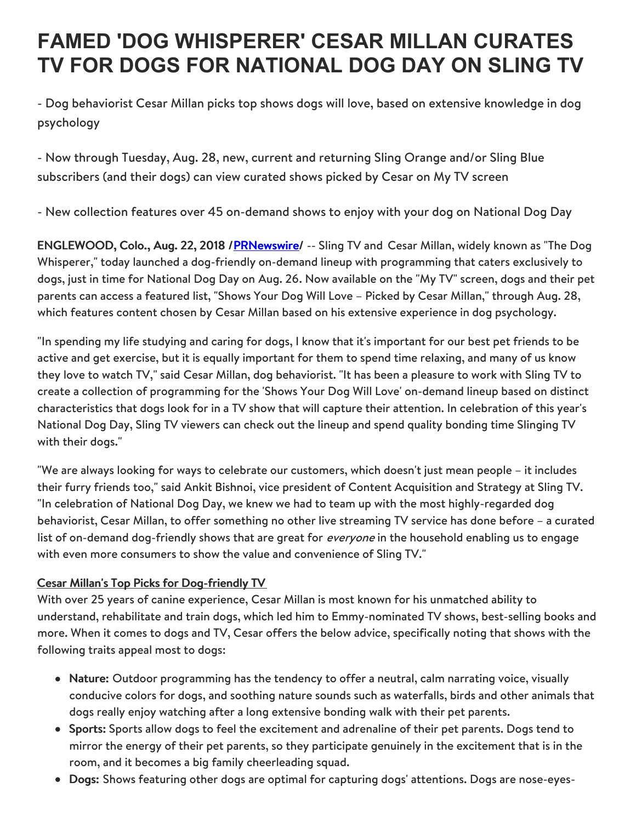## **FAMED 'DOG WHISPERER' CESAR MILLAN CURATES TV FOR DOGS FOR NATIONAL DOG DAY ON SLING TV**

- Dog behaviorist Cesar Millan picks top shows dogs will love, based on extensive knowledge in dog psychology

- Now through Tuesday, Aug. 28, new, current and returning Sling Orange and/or Sling Blue subscribers (and their dogs) can view curated shows picked by Cesar on My TV screen

- New collection features over 45 on-demand shows to enjoy with your dog on National Dog Day

ENGLEWOOD, Colo., Aug. 22, 2018 /**PRNewswire/** -- Sling TV and Cesar Millan, widely known as "The Dog Whisperer," today launched a dog-friendly on-demand lineup with programming that caters exclusively to dogs, just in time for National Dog Day on Aug. 26. Now available on the "My TV" screen, dogs and their pet parents can access a featured list, "Shows Your Dog Will Love – Picked by Cesar Millan," through Aug. 28, which features content chosen by Cesar Millan based on his extensive experience in dog psychology.

"In spending my life studying and caring for dogs, I know that it's important for our best pet friends to be active and get exercise, but it is equally important for them to spend time relaxing, and many of us know they love to watch TV," said Cesar Millan, dog behaviorist. "It has been a pleasure to work with Sling TV to create a collection of programming for the 'Shows Your Dog Will Love' on-demand lineup based on distinct characteristics that dogs look for in a TV show that will capture their attention. In celebration of this year's National Dog Day, Sling TV viewers can check out the lineup and spend quality bonding time Slinging TV with their dogs."

"We are always looking for ways to celebrate our customers, which doesn't just mean people – it includes their furry friends too," said Ankit Bishnoi, vice president of Content Acquisition and Strategy at Sling TV. "In celebration of National Dog Day, we knew we had to team up with the most highly-regarded dog behaviorist, Cesar Millan, to offer something no other live streaming TV service has done before – a curated list of on-demand dog-friendly shows that are great for *everyone* in the household enabling us to engage with even more consumers to show the value and convenience of Sling TV."

## Cesar Millan's Top Picks for Dog-friendly TV

With over 25 years of canine experience, Cesar Millan is most known for his unmatched ability to understand, rehabilitate and train dogs, which led him to Emmy-nominated TV shows, best-selling books and more. When it comes to dogs and TV, Cesar offers the below advice, specifically noting that shows with the following traits appeal most to dogs:

- Nature: Outdoor programming has the tendency to offer a neutral, calm narrating voice, visually conducive colors for dogs, and soothing nature sounds such as waterfalls, birds and other animals that dogs really enjoy watching after a long extensive bonding walk with their pet parents.
- **Sports:** Sports allow dogs to feel the excitement and adrenaline of their pet parents. Dogs tend to mirror the energy of their pet parents, so they participate genuinely in the excitement that is in the room, and it becomes a big family cheerleading squad.
- Dogs: Shows featuring other dogs are optimal for capturing dogs' attentions. Dogs are nose-eyes-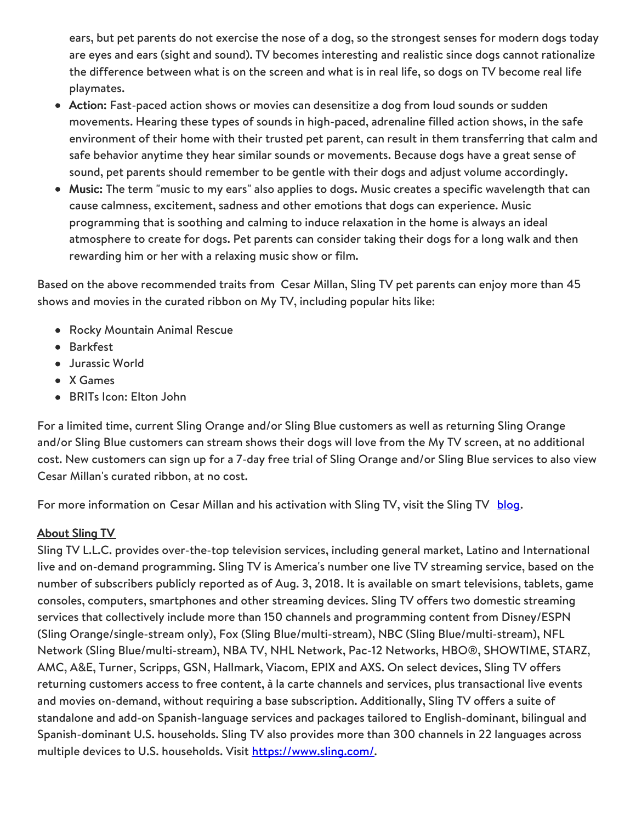ears, but pet parents do not exercise the nose of a dog, so the strongest senses for modern dogs today are eyes and ears (sight and sound). TV becomes interesting and realistic since dogs cannot rationalize the difference between what is on the screen and what is in real life, so dogs on TV become real life playmates.

- Action: Fast-paced action shows or movies can desensitize a dog from loud sounds or sudden movements. Hearing these types of sounds in high-paced, adrenaline filled action shows, in the safe environment of their home with their trusted pet parent, can result in them transferring that calm and safe behavior anytime they hear similar sounds or movements. Because dogs have a great sense of sound, pet parents should remember to be gentle with their dogs and adjust volume accordingly.
- Music: The term "music to my ears" also applies to dogs. Music creates a specific wavelength that can cause calmness, excitement, sadness and other emotions that dogs can experience. Music programming that is soothing and calming to induce relaxation in the home is always an ideal atmosphere to create for dogs. Pet parents can consider taking their dogs for a long walk and then rewarding him or her with a relaxing music show or film.

Based on the above recommended traits from Cesar Millan, Sling TV pet parents can enjoy more than 45 shows and movies in the curated ribbon on My TV, including popular hits like:

- Rocky Mountain Animal Rescue
- Barkfest
- Jurassic World
- X Games
- BRITs Icon: Elton John

For a limited time, current Sling Orange and/or Sling Blue customers as well as returning Sling Orange and/or Sling Blue customers can stream shows their dogs will love from the My TV screen, at no additional cost. New customers can sign up for a 7-day free trial of Sling Orange and/or Sling Blue services to also view Cesar Millan's curated ribbon, at no cost.

For more information on Cesar Millan and his activation with Sling TV, visit the Sling TV [blog.](https://whatson.sling.com/announcements/national-dog-day)

## About Sling TV

Sling TV L.L.C. provides over-the-top television services, including general market, Latino and International live and on-demand programming. Sling TV is America's number one live TV streaming service, based on the number of subscribers publicly reported as of Aug. 3, 2018. It is available on smart televisions, tablets, game consoles, computers, smartphones and other streaming devices. Sling TV offers two domestic streaming services that collectively include more than 150 channels and programming content from Disney/ESPN (Sling Orange/single-stream only), Fox (Sling Blue/multi-stream), NBC (Sling Blue/multi-stream), NFL Network (Sling Blue/multi-stream), NBA TV, NHL Network, Pac-12 Networks, HBO®, SHOWTIME, STARZ, AMC, A&E, Turner, Scripps, GSN, Hallmark, Viacom, EPIX and AXS. On select devices, Sling TV offers returning customers access to free content, à la carte channels and services, plus transactional live events and movies on-demand, without requiring a base subscription. Additionally, Sling TV offers a suite of standalone and add-on Spanish-language services and packages tailored to English-dominant, bilingual and Spanish-dominant U.S. households. Sling TV also provides more than 300 channels in 22 languages across multiple devices to U.S. households. Visit <https://www.sling.com/>.